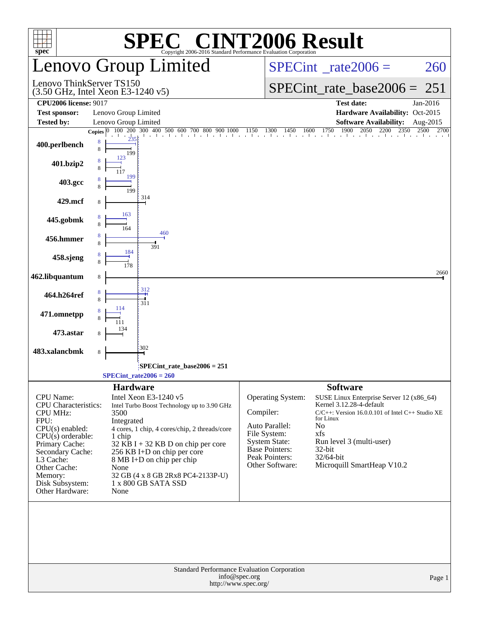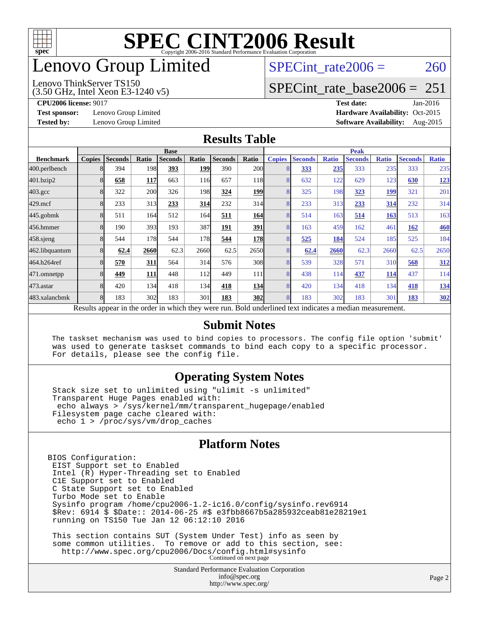

## enovo Group Limited

#### Lenovo ThinkServer TS150

(3.50 GHz, Intel Xeon E3-1240 v5)

SPECint rate $2006 = 260$ 

### [SPECint\\_rate\\_base2006 =](http://www.spec.org/auto/cpu2006/Docs/result-fields.html#SPECintratebase2006) 251

**[Test sponsor:](http://www.spec.org/auto/cpu2006/Docs/result-fields.html#Testsponsor)** Lenovo Group Limited **[Hardware Availability:](http://www.spec.org/auto/cpu2006/Docs/result-fields.html#HardwareAvailability)** Oct-2015

**[CPU2006 license:](http://www.spec.org/auto/cpu2006/Docs/result-fields.html#CPU2006license)** 9017 **[Test date:](http://www.spec.org/auto/cpu2006/Docs/result-fields.html#Testdate)** Jan-2016 **[Tested by:](http://www.spec.org/auto/cpu2006/Docs/result-fields.html#Testedby)** Lenovo Group Limited **[Software Availability:](http://www.spec.org/auto/cpu2006/Docs/result-fields.html#SoftwareAvailability)** Aug-2015

### **[Results Table](http://www.spec.org/auto/cpu2006/Docs/result-fields.html#ResultsTable)**

|                    | <b>Base</b>   |                |            |                |               |                |            | <b>Peak</b>   |                                                                                                          |              |                |              |                |              |
|--------------------|---------------|----------------|------------|----------------|---------------|----------------|------------|---------------|----------------------------------------------------------------------------------------------------------|--------------|----------------|--------------|----------------|--------------|
| <b>Benchmark</b>   | <b>Copies</b> | <b>Seconds</b> | Ratio      | <b>Seconds</b> | Ratio         | <b>Seconds</b> | Ratio      | <b>Copies</b> | <b>Seconds</b>                                                                                           | <b>Ratio</b> | <b>Seconds</b> | <b>Ratio</b> | <b>Seconds</b> | <b>Ratio</b> |
| 400.perlbench      |               | 394            | 198        | 393            | <u> 199  </u> | 390            | 200        |               | 333                                                                                                      | 235          | 333            | 235          | 333            | 235          |
| 401.bzip2          |               | 658            | <b>117</b> | 663            | 116           | 657            | <b>118</b> |               | 632                                                                                                      | 122          | 629            | 123          | 630            | 123          |
| $403.\mathrm{gcc}$ |               | 322            | 200        | 326            | 198l          | 324            | 199        |               | 325                                                                                                      | 198          | 323            | 199          | 321            | 201          |
| $429$ .mcf         | 8             | 233            | 313        | 233            | 314           | 232            | 314        |               | 233                                                                                                      | 313          | 233            | 314          | 232            | 314          |
| $445$ .gobmk       |               | 511            | 164        | 512            | 164l          | 511            | 164        |               | 514                                                                                                      | 163          | 514            | 163          | 513            | 163          |
| 456.hmmer          |               | 190            | 393        | 193            | 387           | 191            | 391        |               | 163                                                                                                      | 459          | 162            | 461          | 162            | 460          |
| $458$ .sjeng       | 8             | 544            | 178        | 544            | 178           | 544            | <b>178</b> |               | 525                                                                                                      | 184          | 524            | 185          | 525            | 184          |
| 462.libquantum     |               | 62.4           | 2660       | 62.3           | 2660          | 62.5           | 2650       |               | 62.4                                                                                                     | 2660         | 62.3           | 2660         | 62.5           | 2650         |
| 464.h264ref        |               | 570            | 311        | 564            | 314           | 576            | 308        |               | 539                                                                                                      | 328          | 571            | 310          | 568            | 312          |
| 471.omnetpp        |               | 449            | <b>111</b> | 448            | 112           | 449            | 111        |               | 438                                                                                                      | 114          | 437            | 114          | 437            | 114          |
| $473$ . astar      |               | 420            | 134        | 418            | 134           | 418            | 134        |               | 420                                                                                                      | 134          | 418            | 134          | 418            | 134          |
| 483.xalancbmk      |               | 183            | 302        | 183            | 301           | 183            | 302        |               | 183                                                                                                      | 302          | 183            | 301          | 183            | 302          |
|                    |               |                |            |                |               |                |            |               | Results appear in the order in which they were run. Bold underlined text indicates a median measurement. |              |                |              |                |              |

### **[Submit Notes](http://www.spec.org/auto/cpu2006/Docs/result-fields.html#SubmitNotes)**

 The taskset mechanism was used to bind copies to processors. The config file option 'submit' was used to generate taskset commands to bind each copy to a specific processor. For details, please see the config file.

### **[Operating System Notes](http://www.spec.org/auto/cpu2006/Docs/result-fields.html#OperatingSystemNotes)**

 Stack size set to unlimited using "ulimit -s unlimited" Transparent Huge Pages enabled with: echo always > /sys/kernel/mm/transparent\_hugepage/enabled Filesystem page cache cleared with: echo 1 > /proc/sys/vm/drop\_caches

### **[Platform Notes](http://www.spec.org/auto/cpu2006/Docs/result-fields.html#PlatformNotes)**

BIOS Configuration: EIST Support set to Enabled Intel (R) Hyper-Threading set to Enabled C1E Support set to Enabled C State Support set to Enabled Turbo Mode set to Enable Sysinfo program /home/cpu2006-1.2-ic16.0/config/sysinfo.rev6914 \$Rev: 6914 \$ \$Date:: 2014-06-25 #\$ e3fbb8667b5a285932ceab81e28219e1 running on TS150 Tue Jan 12 06:12:10 2016 This section contains SUT (System Under Test) info as seen by some common utilities. To remove or add to this section, see:

<http://www.spec.org/cpu2006/Docs/config.html#sysinfo> Continued on next page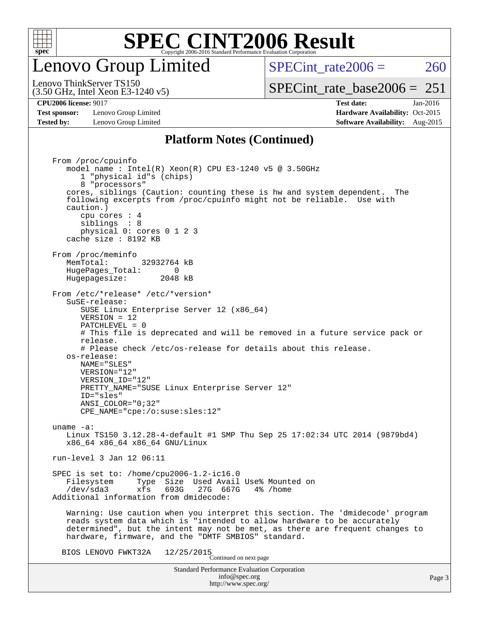

## enovo Group Limited

SPECint rate $2006 = 260$ 

(3.50 GHz, Intel Xeon E3-1240 v5) Lenovo ThinkServer TS150

**[Test sponsor:](http://www.spec.org/auto/cpu2006/Docs/result-fields.html#Testsponsor)** Lenovo Group Limited **[Hardware Availability:](http://www.spec.org/auto/cpu2006/Docs/result-fields.html#HardwareAvailability)** Oct-2015 **[Tested by:](http://www.spec.org/auto/cpu2006/Docs/result-fields.html#Testedby)** Lenovo Group Limited **[Software Availability:](http://www.spec.org/auto/cpu2006/Docs/result-fields.html#SoftwareAvailability)** Aug-2015

[SPECint\\_rate\\_base2006 =](http://www.spec.org/auto/cpu2006/Docs/result-fields.html#SPECintratebase2006)  $251$ **[CPU2006 license:](http://www.spec.org/auto/cpu2006/Docs/result-fields.html#CPU2006license)** 9017 **[Test date:](http://www.spec.org/auto/cpu2006/Docs/result-fields.html#Testdate)** Jan-2016

## **[Platform Notes \(Continued\)](http://www.spec.org/auto/cpu2006/Docs/result-fields.html#PlatformNotes)**

Standard Performance Evaluation Corporation [info@spec.org](mailto:info@spec.org) <http://www.spec.org/> Page 3 From /proc/cpuinfo model name : Intel(R) Xeon(R) CPU E3-1240 v5 @ 3.50GHz 1 "physical id"s (chips) 8 "processors" cores, siblings (Caution: counting these is hw and system dependent. The following excerpts from /proc/cpuinfo might not be reliable. Use with caution.) cpu cores : 4 siblings : 8 physical 0: cores 0 1 2 3 cache size : 8192 KB From /proc/meminfo MemTotal: 32932764 kB HugePages\_Total: 0<br>Hugepagesize: 2048 kB Hugepagesize: From /etc/\*release\* /etc/\*version\* SuSE-release: SUSE Linux Enterprise Server 12 (x86\_64) VERSION = 12 PATCHLEVEL = 0 # This file is deprecated and will be removed in a future service pack or release. # Please check /etc/os-release for details about this release. os-release: NAME="SLES" VERSION="12" VERSION\_ID="12" PRETTY\_NAME="SUSE Linux Enterprise Server 12" ID="sles" ANSI\_COLOR="0;32" CPE\_NAME="cpe:/o:suse:sles:12" uname -a: Linux TS150 3.12.28-4-default #1 SMP Thu Sep 25 17:02:34 UTC 2014 (9879bd4) x86\_64 x86\_64 x86\_64 GNU/Linux run-level 3 Jan 12 06:11 SPEC is set to: /home/cpu2006-1.2-ic16.0 Filesystem Type Size Used Avail Use% Mounted on<br>
/dev/sda3 xfs 693G 27G 667G 4% /home 27G 667G Additional information from dmidecode: Warning: Use caution when you interpret this section. The 'dmidecode' program reads system data which is "intended to allow hardware to be accurately determined", but the intent may not be met, as there are frequent changes to hardware, firmware, and the "DMTF SMBIOS" standard. BIOS LENOVO FWKT32A  $12/25/2015$ <br>Continued on next page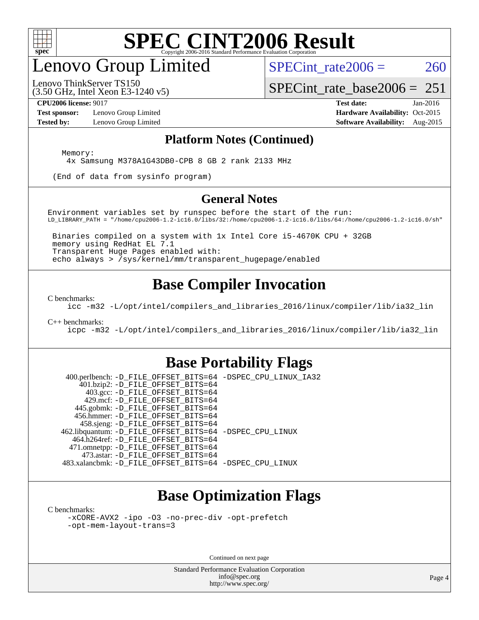

## enovo Group Limited

SPECint rate $2006 = 260$ 

(3.50 GHz, Intel Xeon E3-1240 v5) Lenovo ThinkServer TS150

[SPECint\\_rate\\_base2006 =](http://www.spec.org/auto/cpu2006/Docs/result-fields.html#SPECintratebase2006)  $251$ 

**[Test sponsor:](http://www.spec.org/auto/cpu2006/Docs/result-fields.html#Testsponsor)** Lenovo Group Limited **[Hardware Availability:](http://www.spec.org/auto/cpu2006/Docs/result-fields.html#HardwareAvailability)** Oct-2015

**[CPU2006 license:](http://www.spec.org/auto/cpu2006/Docs/result-fields.html#CPU2006license)** 9017 **[Test date:](http://www.spec.org/auto/cpu2006/Docs/result-fields.html#Testdate)** Jan-2016 **[Tested by:](http://www.spec.org/auto/cpu2006/Docs/result-fields.html#Testedby)** Lenovo Group Limited **[Software Availability:](http://www.spec.org/auto/cpu2006/Docs/result-fields.html#SoftwareAvailability)** Aug-2015

### **[Platform Notes \(Continued\)](http://www.spec.org/auto/cpu2006/Docs/result-fields.html#PlatformNotes)**

Memory:

4x Samsung M378A1G43DB0-CPB 8 GB 2 rank 2133 MHz

(End of data from sysinfo program)

### **[General Notes](http://www.spec.org/auto/cpu2006/Docs/result-fields.html#GeneralNotes)**

Environment variables set by runspec before the start of the run: LD\_LIBRARY\_PATH = "/home/cpu2006-1.2-ic16.0/libs/32:/home/cpu2006-1.2-ic16.0/libs/64:/home/cpu2006-1.2-ic16.0/sh"

 Binaries compiled on a system with 1x Intel Core i5-4670K CPU + 32GB memory using RedHat EL 7.1 Transparent Huge Pages enabled with: echo always > /sys/kernel/mm/transparent\_hugepage/enabled

### **[Base Compiler Invocation](http://www.spec.org/auto/cpu2006/Docs/result-fields.html#BaseCompilerInvocation)**

[C benchmarks](http://www.spec.org/auto/cpu2006/Docs/result-fields.html#Cbenchmarks):

[icc -m32 -L/opt/intel/compilers\\_and\\_libraries\\_2016/linux/compiler/lib/ia32\\_lin](http://www.spec.org/cpu2006/results/res2016q1/cpu2006-20160125-38845.flags.html#user_CCbase_intel_icc_e10256ba5924b668798078a321b0cb3f)

#### [C++ benchmarks:](http://www.spec.org/auto/cpu2006/Docs/result-fields.html#CXXbenchmarks)

[icpc -m32 -L/opt/intel/compilers\\_and\\_libraries\\_2016/linux/compiler/lib/ia32\\_lin](http://www.spec.org/cpu2006/results/res2016q1/cpu2006-20160125-38845.flags.html#user_CXXbase_intel_icpc_b4f50a394bdb4597aa5879c16bc3f5c5)

### **[Base Portability Flags](http://www.spec.org/auto/cpu2006/Docs/result-fields.html#BasePortabilityFlags)**

 400.perlbench: [-D\\_FILE\\_OFFSET\\_BITS=64](http://www.spec.org/cpu2006/results/res2016q1/cpu2006-20160125-38845.flags.html#user_basePORTABILITY400_perlbench_file_offset_bits_64_438cf9856305ebd76870a2c6dc2689ab) [-DSPEC\\_CPU\\_LINUX\\_IA32](http://www.spec.org/cpu2006/results/res2016q1/cpu2006-20160125-38845.flags.html#b400.perlbench_baseCPORTABILITY_DSPEC_CPU_LINUX_IA32) 401.bzip2: [-D\\_FILE\\_OFFSET\\_BITS=64](http://www.spec.org/cpu2006/results/res2016q1/cpu2006-20160125-38845.flags.html#user_basePORTABILITY401_bzip2_file_offset_bits_64_438cf9856305ebd76870a2c6dc2689ab) 403.gcc: [-D\\_FILE\\_OFFSET\\_BITS=64](http://www.spec.org/cpu2006/results/res2016q1/cpu2006-20160125-38845.flags.html#user_basePORTABILITY403_gcc_file_offset_bits_64_438cf9856305ebd76870a2c6dc2689ab) 429.mcf: [-D\\_FILE\\_OFFSET\\_BITS=64](http://www.spec.org/cpu2006/results/res2016q1/cpu2006-20160125-38845.flags.html#user_basePORTABILITY429_mcf_file_offset_bits_64_438cf9856305ebd76870a2c6dc2689ab) 445.gobmk: [-D\\_FILE\\_OFFSET\\_BITS=64](http://www.spec.org/cpu2006/results/res2016q1/cpu2006-20160125-38845.flags.html#user_basePORTABILITY445_gobmk_file_offset_bits_64_438cf9856305ebd76870a2c6dc2689ab) 456.hmmer: [-D\\_FILE\\_OFFSET\\_BITS=64](http://www.spec.org/cpu2006/results/res2016q1/cpu2006-20160125-38845.flags.html#user_basePORTABILITY456_hmmer_file_offset_bits_64_438cf9856305ebd76870a2c6dc2689ab) 458.sjeng: [-D\\_FILE\\_OFFSET\\_BITS=64](http://www.spec.org/cpu2006/results/res2016q1/cpu2006-20160125-38845.flags.html#user_basePORTABILITY458_sjeng_file_offset_bits_64_438cf9856305ebd76870a2c6dc2689ab) 462.libquantum: [-D\\_FILE\\_OFFSET\\_BITS=64](http://www.spec.org/cpu2006/results/res2016q1/cpu2006-20160125-38845.flags.html#user_basePORTABILITY462_libquantum_file_offset_bits_64_438cf9856305ebd76870a2c6dc2689ab) [-DSPEC\\_CPU\\_LINUX](http://www.spec.org/cpu2006/results/res2016q1/cpu2006-20160125-38845.flags.html#b462.libquantum_baseCPORTABILITY_DSPEC_CPU_LINUX) 464.h264ref: [-D\\_FILE\\_OFFSET\\_BITS=64](http://www.spec.org/cpu2006/results/res2016q1/cpu2006-20160125-38845.flags.html#user_basePORTABILITY464_h264ref_file_offset_bits_64_438cf9856305ebd76870a2c6dc2689ab) 471.omnetpp: [-D\\_FILE\\_OFFSET\\_BITS=64](http://www.spec.org/cpu2006/results/res2016q1/cpu2006-20160125-38845.flags.html#user_basePORTABILITY471_omnetpp_file_offset_bits_64_438cf9856305ebd76870a2c6dc2689ab) 473.astar: [-D\\_FILE\\_OFFSET\\_BITS=64](http://www.spec.org/cpu2006/results/res2016q1/cpu2006-20160125-38845.flags.html#user_basePORTABILITY473_astar_file_offset_bits_64_438cf9856305ebd76870a2c6dc2689ab) 483.xalancbmk: [-D\\_FILE\\_OFFSET\\_BITS=64](http://www.spec.org/cpu2006/results/res2016q1/cpu2006-20160125-38845.flags.html#user_basePORTABILITY483_xalancbmk_file_offset_bits_64_438cf9856305ebd76870a2c6dc2689ab) [-DSPEC\\_CPU\\_LINUX](http://www.spec.org/cpu2006/results/res2016q1/cpu2006-20160125-38845.flags.html#b483.xalancbmk_baseCXXPORTABILITY_DSPEC_CPU_LINUX)

### **[Base Optimization Flags](http://www.spec.org/auto/cpu2006/Docs/result-fields.html#BaseOptimizationFlags)**

[C benchmarks](http://www.spec.org/auto/cpu2006/Docs/result-fields.html#Cbenchmarks):

[-xCORE-AVX2](http://www.spec.org/cpu2006/results/res2016q1/cpu2006-20160125-38845.flags.html#user_CCbase_f-xAVX2_5f5fc0cbe2c9f62c816d3e45806c70d7) [-ipo](http://www.spec.org/cpu2006/results/res2016q1/cpu2006-20160125-38845.flags.html#user_CCbase_f-ipo) [-O3](http://www.spec.org/cpu2006/results/res2016q1/cpu2006-20160125-38845.flags.html#user_CCbase_f-O3) [-no-prec-div](http://www.spec.org/cpu2006/results/res2016q1/cpu2006-20160125-38845.flags.html#user_CCbase_f-no-prec-div) [-opt-prefetch](http://www.spec.org/cpu2006/results/res2016q1/cpu2006-20160125-38845.flags.html#user_CCbase_f-opt-prefetch) [-opt-mem-layout-trans=3](http://www.spec.org/cpu2006/results/res2016q1/cpu2006-20160125-38845.flags.html#user_CCbase_f-opt-mem-layout-trans_a7b82ad4bd7abf52556d4961a2ae94d5)

Continued on next page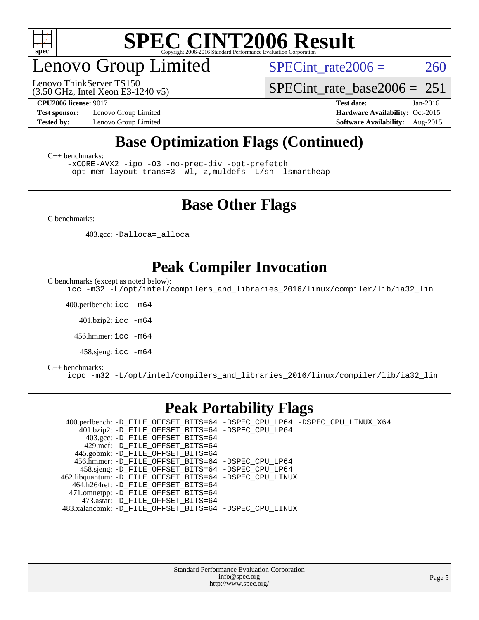

## enovo Group Limited

(3.50 GHz, Intel Xeon E3-1240 v5) Lenovo ThinkServer TS150

SPECint rate $2006 = 260$ 

[SPECint\\_rate\\_base2006 =](http://www.spec.org/auto/cpu2006/Docs/result-fields.html#SPECintratebase2006)  $251$ 

**[CPU2006 license:](http://www.spec.org/auto/cpu2006/Docs/result-fields.html#CPU2006license)** 9017 **[Test date:](http://www.spec.org/auto/cpu2006/Docs/result-fields.html#Testdate)** Jan-2016 **[Test sponsor:](http://www.spec.org/auto/cpu2006/Docs/result-fields.html#Testsponsor)** Lenovo Group Limited **[Hardware Availability:](http://www.spec.org/auto/cpu2006/Docs/result-fields.html#HardwareAvailability)** Oct-2015 **[Tested by:](http://www.spec.org/auto/cpu2006/Docs/result-fields.html#Testedby)** Lenovo Group Limited **[Software Availability:](http://www.spec.org/auto/cpu2006/Docs/result-fields.html#SoftwareAvailability)** Aug-2015

## **[Base Optimization Flags \(Continued\)](http://www.spec.org/auto/cpu2006/Docs/result-fields.html#BaseOptimizationFlags)**

[C++ benchmarks:](http://www.spec.org/auto/cpu2006/Docs/result-fields.html#CXXbenchmarks)

[-xCORE-AVX2](http://www.spec.org/cpu2006/results/res2016q1/cpu2006-20160125-38845.flags.html#user_CXXbase_f-xAVX2_5f5fc0cbe2c9f62c816d3e45806c70d7) [-ipo](http://www.spec.org/cpu2006/results/res2016q1/cpu2006-20160125-38845.flags.html#user_CXXbase_f-ipo) [-O3](http://www.spec.org/cpu2006/results/res2016q1/cpu2006-20160125-38845.flags.html#user_CXXbase_f-O3) [-no-prec-div](http://www.spec.org/cpu2006/results/res2016q1/cpu2006-20160125-38845.flags.html#user_CXXbase_f-no-prec-div) [-opt-prefetch](http://www.spec.org/cpu2006/results/res2016q1/cpu2006-20160125-38845.flags.html#user_CXXbase_f-opt-prefetch)

[-opt-mem-layout-trans=3](http://www.spec.org/cpu2006/results/res2016q1/cpu2006-20160125-38845.flags.html#user_CXXbase_f-opt-mem-layout-trans_a7b82ad4bd7abf52556d4961a2ae94d5) [-Wl,-z,muldefs](http://www.spec.org/cpu2006/results/res2016q1/cpu2006-20160125-38845.flags.html#user_CXXbase_link_force_multiple1_74079c344b956b9658436fd1b6dd3a8a) [-L/sh -lsmartheap](http://www.spec.org/cpu2006/results/res2016q1/cpu2006-20160125-38845.flags.html#user_CXXbase_SmartHeap_32f6c82aa1ed9c52345d30cf6e4a0499)

### **[Base Other Flags](http://www.spec.org/auto/cpu2006/Docs/result-fields.html#BaseOtherFlags)**

[C benchmarks](http://www.spec.org/auto/cpu2006/Docs/result-fields.html#Cbenchmarks):

403.gcc: [-Dalloca=\\_alloca](http://www.spec.org/cpu2006/results/res2016q1/cpu2006-20160125-38845.flags.html#b403.gcc_baseEXTRA_CFLAGS_Dalloca_be3056838c12de2578596ca5467af7f3)

### **[Peak Compiler Invocation](http://www.spec.org/auto/cpu2006/Docs/result-fields.html#PeakCompilerInvocation)**

[C benchmarks \(except as noted below\)](http://www.spec.org/auto/cpu2006/Docs/result-fields.html#Cbenchmarksexceptasnotedbelow):

[icc -m32 -L/opt/intel/compilers\\_and\\_libraries\\_2016/linux/compiler/lib/ia32\\_lin](http://www.spec.org/cpu2006/results/res2016q1/cpu2006-20160125-38845.flags.html#user_CCpeak_intel_icc_e10256ba5924b668798078a321b0cb3f)

400.perlbench: [icc -m64](http://www.spec.org/cpu2006/results/res2016q1/cpu2006-20160125-38845.flags.html#user_peakCCLD400_perlbench_intel_icc_64bit_bda6cc9af1fdbb0edc3795bac97ada53)

401.bzip2: [icc -m64](http://www.spec.org/cpu2006/results/res2016q1/cpu2006-20160125-38845.flags.html#user_peakCCLD401_bzip2_intel_icc_64bit_bda6cc9af1fdbb0edc3795bac97ada53)

456.hmmer: [icc -m64](http://www.spec.org/cpu2006/results/res2016q1/cpu2006-20160125-38845.flags.html#user_peakCCLD456_hmmer_intel_icc_64bit_bda6cc9af1fdbb0edc3795bac97ada53)

458.sjeng: [icc -m64](http://www.spec.org/cpu2006/results/res2016q1/cpu2006-20160125-38845.flags.html#user_peakCCLD458_sjeng_intel_icc_64bit_bda6cc9af1fdbb0edc3795bac97ada53)

#### [C++ benchmarks:](http://www.spec.org/auto/cpu2006/Docs/result-fields.html#CXXbenchmarks)

[icpc -m32 -L/opt/intel/compilers\\_and\\_libraries\\_2016/linux/compiler/lib/ia32\\_lin](http://www.spec.org/cpu2006/results/res2016q1/cpu2006-20160125-38845.flags.html#user_CXXpeak_intel_icpc_b4f50a394bdb4597aa5879c16bc3f5c5)

### **[Peak Portability Flags](http://www.spec.org/auto/cpu2006/Docs/result-fields.html#PeakPortabilityFlags)**

 400.perlbench: [-D\\_FILE\\_OFFSET\\_BITS=64](http://www.spec.org/cpu2006/results/res2016q1/cpu2006-20160125-38845.flags.html#user_peakPORTABILITY400_perlbench_file_offset_bits_64_438cf9856305ebd76870a2c6dc2689ab) [-DSPEC\\_CPU\\_LP64](http://www.spec.org/cpu2006/results/res2016q1/cpu2006-20160125-38845.flags.html#b400.perlbench_peakCPORTABILITY_DSPEC_CPU_LP64) [-DSPEC\\_CPU\\_LINUX\\_X64](http://www.spec.org/cpu2006/results/res2016q1/cpu2006-20160125-38845.flags.html#b400.perlbench_peakCPORTABILITY_DSPEC_CPU_LINUX_X64) 401.bzip2: [-D\\_FILE\\_OFFSET\\_BITS=64](http://www.spec.org/cpu2006/results/res2016q1/cpu2006-20160125-38845.flags.html#user_peakPORTABILITY401_bzip2_file_offset_bits_64_438cf9856305ebd76870a2c6dc2689ab) [-DSPEC\\_CPU\\_LP64](http://www.spec.org/cpu2006/results/res2016q1/cpu2006-20160125-38845.flags.html#suite_peakCPORTABILITY401_bzip2_DSPEC_CPU_LP64) 403.gcc: [-D\\_FILE\\_OFFSET\\_BITS=64](http://www.spec.org/cpu2006/results/res2016q1/cpu2006-20160125-38845.flags.html#user_peakPORTABILITY403_gcc_file_offset_bits_64_438cf9856305ebd76870a2c6dc2689ab) 429.mcf: [-D\\_FILE\\_OFFSET\\_BITS=64](http://www.spec.org/cpu2006/results/res2016q1/cpu2006-20160125-38845.flags.html#user_peakPORTABILITY429_mcf_file_offset_bits_64_438cf9856305ebd76870a2c6dc2689ab) 445.gobmk: [-D\\_FILE\\_OFFSET\\_BITS=64](http://www.spec.org/cpu2006/results/res2016q1/cpu2006-20160125-38845.flags.html#user_peakPORTABILITY445_gobmk_file_offset_bits_64_438cf9856305ebd76870a2c6dc2689ab) 456.hmmer: [-D\\_FILE\\_OFFSET\\_BITS=64](http://www.spec.org/cpu2006/results/res2016q1/cpu2006-20160125-38845.flags.html#user_peakPORTABILITY456_hmmer_file_offset_bits_64_438cf9856305ebd76870a2c6dc2689ab) [-DSPEC\\_CPU\\_LP64](http://www.spec.org/cpu2006/results/res2016q1/cpu2006-20160125-38845.flags.html#suite_peakCPORTABILITY456_hmmer_DSPEC_CPU_LP64) 458.sjeng: [-D\\_FILE\\_OFFSET\\_BITS=64](http://www.spec.org/cpu2006/results/res2016q1/cpu2006-20160125-38845.flags.html#user_peakPORTABILITY458_sjeng_file_offset_bits_64_438cf9856305ebd76870a2c6dc2689ab) [-DSPEC\\_CPU\\_LP64](http://www.spec.org/cpu2006/results/res2016q1/cpu2006-20160125-38845.flags.html#suite_peakCPORTABILITY458_sjeng_DSPEC_CPU_LP64) 462.libquantum: [-D\\_FILE\\_OFFSET\\_BITS=64](http://www.spec.org/cpu2006/results/res2016q1/cpu2006-20160125-38845.flags.html#user_peakPORTABILITY462_libquantum_file_offset_bits_64_438cf9856305ebd76870a2c6dc2689ab) [-DSPEC\\_CPU\\_LINUX](http://www.spec.org/cpu2006/results/res2016q1/cpu2006-20160125-38845.flags.html#b462.libquantum_peakCPORTABILITY_DSPEC_CPU_LINUX) 464.h264ref: [-D\\_FILE\\_OFFSET\\_BITS=64](http://www.spec.org/cpu2006/results/res2016q1/cpu2006-20160125-38845.flags.html#user_peakPORTABILITY464_h264ref_file_offset_bits_64_438cf9856305ebd76870a2c6dc2689ab) 471.omnetpp: [-D\\_FILE\\_OFFSET\\_BITS=64](http://www.spec.org/cpu2006/results/res2016q1/cpu2006-20160125-38845.flags.html#user_peakPORTABILITY471_omnetpp_file_offset_bits_64_438cf9856305ebd76870a2c6dc2689ab) 473.astar: [-D\\_FILE\\_OFFSET\\_BITS=64](http://www.spec.org/cpu2006/results/res2016q1/cpu2006-20160125-38845.flags.html#user_peakPORTABILITY473_astar_file_offset_bits_64_438cf9856305ebd76870a2c6dc2689ab) 483.xalancbmk: [-D\\_FILE\\_OFFSET\\_BITS=64](http://www.spec.org/cpu2006/results/res2016q1/cpu2006-20160125-38845.flags.html#user_peakPORTABILITY483_xalancbmk_file_offset_bits_64_438cf9856305ebd76870a2c6dc2689ab) [-DSPEC\\_CPU\\_LINUX](http://www.spec.org/cpu2006/results/res2016q1/cpu2006-20160125-38845.flags.html#b483.xalancbmk_peakCXXPORTABILITY_DSPEC_CPU_LINUX)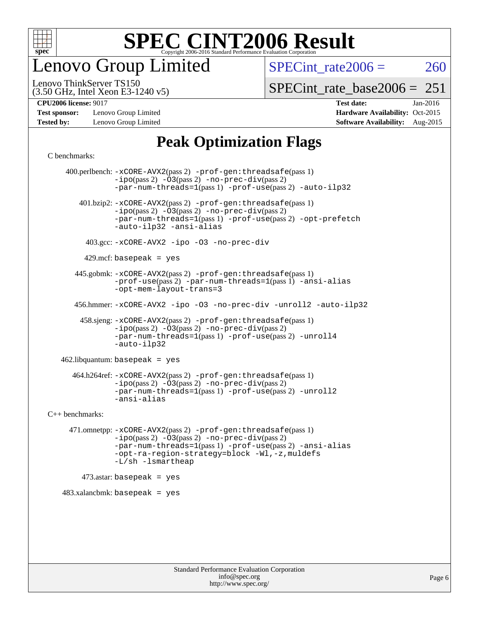

enovo Group Limited

SPECint rate $2006 = 260$ 

(3.50 GHz, Intel Xeon E3-1240 v5) Lenovo ThinkServer TS150

[SPECint\\_rate\\_base2006 =](http://www.spec.org/auto/cpu2006/Docs/result-fields.html#SPECintratebase2006)  $251$ 

**[Test sponsor:](http://www.spec.org/auto/cpu2006/Docs/result-fields.html#Testsponsor)** Lenovo Group Limited **[Hardware Availability:](http://www.spec.org/auto/cpu2006/Docs/result-fields.html#HardwareAvailability)** Oct-2015

**[CPU2006 license:](http://www.spec.org/auto/cpu2006/Docs/result-fields.html#CPU2006license)** 9017 **[Test date:](http://www.spec.org/auto/cpu2006/Docs/result-fields.html#Testdate)** Jan-2016 **[Tested by:](http://www.spec.org/auto/cpu2006/Docs/result-fields.html#Testedby)** Lenovo Group Limited **[Software Availability:](http://www.spec.org/auto/cpu2006/Docs/result-fields.html#SoftwareAvailability)** Aug-2015

### **[Peak Optimization Flags](http://www.spec.org/auto/cpu2006/Docs/result-fields.html#PeakOptimizationFlags)**

[C benchmarks](http://www.spec.org/auto/cpu2006/Docs/result-fields.html#Cbenchmarks):

 400.perlbench: [-xCORE-AVX2](http://www.spec.org/cpu2006/results/res2016q1/cpu2006-20160125-38845.flags.html#user_peakPASS2_CFLAGSPASS2_LDCFLAGS400_perlbench_f-xAVX2_5f5fc0cbe2c9f62c816d3e45806c70d7)(pass 2) [-prof-gen:threadsafe](http://www.spec.org/cpu2006/results/res2016q1/cpu2006-20160125-38845.flags.html#user_peakPASS1_CFLAGSPASS1_LDCFLAGS400_perlbench_prof_gen_21a26eb79f378b550acd7bec9fe4467a)(pass 1)  $-i\text{po}(pass 2) -\overline{03}(pass 2)$  [-no-prec-div](http://www.spec.org/cpu2006/results/res2016q1/cpu2006-20160125-38845.flags.html#user_peakPASS2_CFLAGSPASS2_LDCFLAGS400_perlbench_f-no-prec-div)(pass 2) [-par-num-threads=1](http://www.spec.org/cpu2006/results/res2016q1/cpu2006-20160125-38845.flags.html#user_peakPASS1_CFLAGSPASS1_LDCFLAGS400_perlbench_par_num_threads_786a6ff141b4e9e90432e998842df6c2)(pass 1) [-prof-use](http://www.spec.org/cpu2006/results/res2016q1/cpu2006-20160125-38845.flags.html#user_peakPASS2_CFLAGSPASS2_LDCFLAGS400_perlbench_prof_use_bccf7792157ff70d64e32fe3e1250b55)(pass 2) [-auto-ilp32](http://www.spec.org/cpu2006/results/res2016q1/cpu2006-20160125-38845.flags.html#user_peakCOPTIMIZE400_perlbench_f-auto-ilp32) 401.bzip2: [-xCORE-AVX2](http://www.spec.org/cpu2006/results/res2016q1/cpu2006-20160125-38845.flags.html#user_peakPASS2_CFLAGSPASS2_LDCFLAGS401_bzip2_f-xAVX2_5f5fc0cbe2c9f62c816d3e45806c70d7)(pass 2) [-prof-gen:threadsafe](http://www.spec.org/cpu2006/results/res2016q1/cpu2006-20160125-38845.flags.html#user_peakPASS1_CFLAGSPASS1_LDCFLAGS401_bzip2_prof_gen_21a26eb79f378b550acd7bec9fe4467a)(pass 1)  $-ipo(pass 2) -\overline{O}3(pass 2)$  $-ipo(pass 2) -\overline{O}3(pass 2)$  [-no-prec-div](http://www.spec.org/cpu2006/results/res2016q1/cpu2006-20160125-38845.flags.html#user_peakPASS2_CFLAGSPASS2_LDCFLAGS401_bzip2_f-no-prec-div)(pass 2) [-par-num-threads=1](http://www.spec.org/cpu2006/results/res2016q1/cpu2006-20160125-38845.flags.html#user_peakPASS1_CFLAGSPASS1_LDCFLAGS401_bzip2_par_num_threads_786a6ff141b4e9e90432e998842df6c2)(pass 1) [-prof-use](http://www.spec.org/cpu2006/results/res2016q1/cpu2006-20160125-38845.flags.html#user_peakPASS2_CFLAGSPASS2_LDCFLAGS401_bzip2_prof_use_bccf7792157ff70d64e32fe3e1250b55)(pass 2) [-opt-prefetch](http://www.spec.org/cpu2006/results/res2016q1/cpu2006-20160125-38845.flags.html#user_peakCOPTIMIZE401_bzip2_f-opt-prefetch) [-auto-ilp32](http://www.spec.org/cpu2006/results/res2016q1/cpu2006-20160125-38845.flags.html#user_peakCOPTIMIZE401_bzip2_f-auto-ilp32) [-ansi-alias](http://www.spec.org/cpu2006/results/res2016q1/cpu2006-20160125-38845.flags.html#user_peakCOPTIMIZE401_bzip2_f-ansi-alias) 403.gcc: [-xCORE-AVX2](http://www.spec.org/cpu2006/results/res2016q1/cpu2006-20160125-38845.flags.html#user_peakCOPTIMIZE403_gcc_f-xAVX2_5f5fc0cbe2c9f62c816d3e45806c70d7) [-ipo](http://www.spec.org/cpu2006/results/res2016q1/cpu2006-20160125-38845.flags.html#user_peakCOPTIMIZE403_gcc_f-ipo) [-O3](http://www.spec.org/cpu2006/results/res2016q1/cpu2006-20160125-38845.flags.html#user_peakCOPTIMIZE403_gcc_f-O3) [-no-prec-div](http://www.spec.org/cpu2006/results/res2016q1/cpu2006-20160125-38845.flags.html#user_peakCOPTIMIZE403_gcc_f-no-prec-div)  $429$ .mcf: basepeak = yes 445.gobmk: [-xCORE-AVX2](http://www.spec.org/cpu2006/results/res2016q1/cpu2006-20160125-38845.flags.html#user_peakPASS2_CFLAGSPASS2_LDCFLAGS445_gobmk_f-xAVX2_5f5fc0cbe2c9f62c816d3e45806c70d7)(pass 2) [-prof-gen:threadsafe](http://www.spec.org/cpu2006/results/res2016q1/cpu2006-20160125-38845.flags.html#user_peakPASS1_CFLAGSPASS1_LDCFLAGS445_gobmk_prof_gen_21a26eb79f378b550acd7bec9fe4467a)(pass 1) [-prof-use](http://www.spec.org/cpu2006/results/res2016q1/cpu2006-20160125-38845.flags.html#user_peakPASS2_CFLAGSPASS2_LDCFLAGS445_gobmk_prof_use_bccf7792157ff70d64e32fe3e1250b55)(pass 2) [-par-num-threads=1](http://www.spec.org/cpu2006/results/res2016q1/cpu2006-20160125-38845.flags.html#user_peakPASS1_CFLAGSPASS1_LDCFLAGS445_gobmk_par_num_threads_786a6ff141b4e9e90432e998842df6c2)(pass 1) [-ansi-alias](http://www.spec.org/cpu2006/results/res2016q1/cpu2006-20160125-38845.flags.html#user_peakCOPTIMIZE445_gobmk_f-ansi-alias) [-opt-mem-layout-trans=3](http://www.spec.org/cpu2006/results/res2016q1/cpu2006-20160125-38845.flags.html#user_peakCOPTIMIZE445_gobmk_f-opt-mem-layout-trans_a7b82ad4bd7abf52556d4961a2ae94d5) 456.hmmer: [-xCORE-AVX2](http://www.spec.org/cpu2006/results/res2016q1/cpu2006-20160125-38845.flags.html#user_peakCOPTIMIZE456_hmmer_f-xAVX2_5f5fc0cbe2c9f62c816d3e45806c70d7) [-ipo](http://www.spec.org/cpu2006/results/res2016q1/cpu2006-20160125-38845.flags.html#user_peakCOPTIMIZE456_hmmer_f-ipo) [-O3](http://www.spec.org/cpu2006/results/res2016q1/cpu2006-20160125-38845.flags.html#user_peakCOPTIMIZE456_hmmer_f-O3) [-no-prec-div](http://www.spec.org/cpu2006/results/res2016q1/cpu2006-20160125-38845.flags.html#user_peakCOPTIMIZE456_hmmer_f-no-prec-div) [-unroll2](http://www.spec.org/cpu2006/results/res2016q1/cpu2006-20160125-38845.flags.html#user_peakCOPTIMIZE456_hmmer_f-unroll_784dae83bebfb236979b41d2422d7ec2) [-auto-ilp32](http://www.spec.org/cpu2006/results/res2016q1/cpu2006-20160125-38845.flags.html#user_peakCOPTIMIZE456_hmmer_f-auto-ilp32) 458.sjeng: [-xCORE-AVX2](http://www.spec.org/cpu2006/results/res2016q1/cpu2006-20160125-38845.flags.html#user_peakPASS2_CFLAGSPASS2_LDCFLAGS458_sjeng_f-xAVX2_5f5fc0cbe2c9f62c816d3e45806c70d7)(pass 2) [-prof-gen:threadsafe](http://www.spec.org/cpu2006/results/res2016q1/cpu2006-20160125-38845.flags.html#user_peakPASS1_CFLAGSPASS1_LDCFLAGS458_sjeng_prof_gen_21a26eb79f378b550acd7bec9fe4467a)(pass 1)  $-i\text{po}(pass 2) -03(pass 2) -no-prec-div(pass 2)$  $-i\text{po}(pass 2) -03(pass 2) -no-prec-div(pass 2)$  $-i\text{po}(pass 2) -03(pass 2) -no-prec-div(pass 2)$ [-par-num-threads=1](http://www.spec.org/cpu2006/results/res2016q1/cpu2006-20160125-38845.flags.html#user_peakPASS1_CFLAGSPASS1_LDCFLAGS458_sjeng_par_num_threads_786a6ff141b4e9e90432e998842df6c2)(pass 1) [-prof-use](http://www.spec.org/cpu2006/results/res2016q1/cpu2006-20160125-38845.flags.html#user_peakPASS2_CFLAGSPASS2_LDCFLAGS458_sjeng_prof_use_bccf7792157ff70d64e32fe3e1250b55)(pass 2) [-unroll4](http://www.spec.org/cpu2006/results/res2016q1/cpu2006-20160125-38845.flags.html#user_peakCOPTIMIZE458_sjeng_f-unroll_4e5e4ed65b7fd20bdcd365bec371b81f) [-auto-ilp32](http://www.spec.org/cpu2006/results/res2016q1/cpu2006-20160125-38845.flags.html#user_peakCOPTIMIZE458_sjeng_f-auto-ilp32) 462.libquantum: basepeak = yes 464.h264ref: [-xCORE-AVX2](http://www.spec.org/cpu2006/results/res2016q1/cpu2006-20160125-38845.flags.html#user_peakPASS2_CFLAGSPASS2_LDCFLAGS464_h264ref_f-xAVX2_5f5fc0cbe2c9f62c816d3e45806c70d7)(pass 2) [-prof-gen:threadsafe](http://www.spec.org/cpu2006/results/res2016q1/cpu2006-20160125-38845.flags.html#user_peakPASS1_CFLAGSPASS1_LDCFLAGS464_h264ref_prof_gen_21a26eb79f378b550acd7bec9fe4467a)(pass 1) [-ipo](http://www.spec.org/cpu2006/results/res2016q1/cpu2006-20160125-38845.flags.html#user_peakPASS2_CFLAGSPASS2_LDCFLAGS464_h264ref_f-ipo)(pass 2) [-O3](http://www.spec.org/cpu2006/results/res2016q1/cpu2006-20160125-38845.flags.html#user_peakPASS2_CFLAGSPASS2_LDCFLAGS464_h264ref_f-O3)(pass 2) [-no-prec-div](http://www.spec.org/cpu2006/results/res2016q1/cpu2006-20160125-38845.flags.html#user_peakPASS2_CFLAGSPASS2_LDCFLAGS464_h264ref_f-no-prec-div)(pass 2) [-par-num-threads=1](http://www.spec.org/cpu2006/results/res2016q1/cpu2006-20160125-38845.flags.html#user_peakPASS1_CFLAGSPASS1_LDCFLAGS464_h264ref_par_num_threads_786a6ff141b4e9e90432e998842df6c2)(pass 1) [-prof-use](http://www.spec.org/cpu2006/results/res2016q1/cpu2006-20160125-38845.flags.html#user_peakPASS2_CFLAGSPASS2_LDCFLAGS464_h264ref_prof_use_bccf7792157ff70d64e32fe3e1250b55)(pass 2) [-unroll2](http://www.spec.org/cpu2006/results/res2016q1/cpu2006-20160125-38845.flags.html#user_peakCOPTIMIZE464_h264ref_f-unroll_784dae83bebfb236979b41d2422d7ec2) [-ansi-alias](http://www.spec.org/cpu2006/results/res2016q1/cpu2006-20160125-38845.flags.html#user_peakCOPTIMIZE464_h264ref_f-ansi-alias) [C++ benchmarks:](http://www.spec.org/auto/cpu2006/Docs/result-fields.html#CXXbenchmarks) 471.omnetpp: [-xCORE-AVX2](http://www.spec.org/cpu2006/results/res2016q1/cpu2006-20160125-38845.flags.html#user_peakPASS2_CXXFLAGSPASS2_LDCXXFLAGS471_omnetpp_f-xAVX2_5f5fc0cbe2c9f62c816d3e45806c70d7)(pass 2) [-prof-gen:threadsafe](http://www.spec.org/cpu2006/results/res2016q1/cpu2006-20160125-38845.flags.html#user_peakPASS1_CXXFLAGSPASS1_LDCXXFLAGS471_omnetpp_prof_gen_21a26eb79f378b550acd7bec9fe4467a)(pass 1) [-ipo](http://www.spec.org/cpu2006/results/res2016q1/cpu2006-20160125-38845.flags.html#user_peakPASS2_CXXFLAGSPASS2_LDCXXFLAGS471_omnetpp_f-ipo)(pass 2) [-O3](http://www.spec.org/cpu2006/results/res2016q1/cpu2006-20160125-38845.flags.html#user_peakPASS2_CXXFLAGSPASS2_LDCXXFLAGS471_omnetpp_f-O3)(pass 2) [-no-prec-div](http://www.spec.org/cpu2006/results/res2016q1/cpu2006-20160125-38845.flags.html#user_peakPASS2_CXXFLAGSPASS2_LDCXXFLAGS471_omnetpp_f-no-prec-div)(pass 2) [-par-num-threads=1](http://www.spec.org/cpu2006/results/res2016q1/cpu2006-20160125-38845.flags.html#user_peakPASS1_CXXFLAGSPASS1_LDCXXFLAGS471_omnetpp_par_num_threads_786a6ff141b4e9e90432e998842df6c2)(pass 1) [-prof-use](http://www.spec.org/cpu2006/results/res2016q1/cpu2006-20160125-38845.flags.html#user_peakPASS2_CXXFLAGSPASS2_LDCXXFLAGS471_omnetpp_prof_use_bccf7792157ff70d64e32fe3e1250b55)(pass 2) [-ansi-alias](http://www.spec.org/cpu2006/results/res2016q1/cpu2006-20160125-38845.flags.html#user_peakCXXOPTIMIZE471_omnetpp_f-ansi-alias) [-opt-ra-region-strategy=block](http://www.spec.org/cpu2006/results/res2016q1/cpu2006-20160125-38845.flags.html#user_peakCXXOPTIMIZE471_omnetpp_f-opt-ra-region-strategy_a0a37c372d03933b2a18d4af463c1f69) [-Wl,-z,muldefs](http://www.spec.org/cpu2006/results/res2016q1/cpu2006-20160125-38845.flags.html#user_peakEXTRA_LDFLAGS471_omnetpp_link_force_multiple1_74079c344b956b9658436fd1b6dd3a8a) [-L/sh -lsmartheap](http://www.spec.org/cpu2006/results/res2016q1/cpu2006-20160125-38845.flags.html#user_peakEXTRA_LIBS471_omnetpp_SmartHeap_32f6c82aa1ed9c52345d30cf6e4a0499)  $473$ .astar: basepeak = yes 483.xalancbmk: basepeak = yes